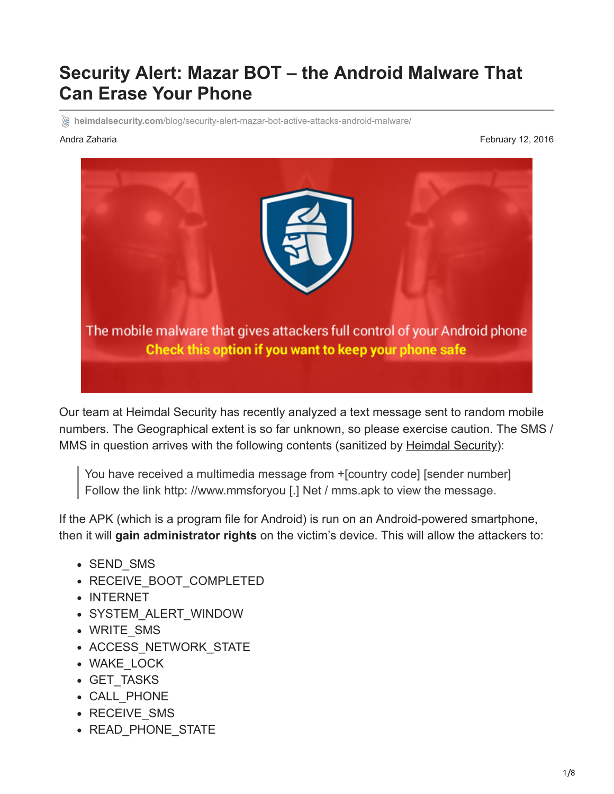# **Security Alert: Mazar BOT – the Android Malware That Can Erase Your Phone**

**heimdalsecurity.com**[/blog/security-alert-mazar-bot-active-attacks-android-malware/](https://heimdalsecurity.com/blog/security-alert-mazar-bot-active-attacks-android-malware/)

Andra Zaharia February 12, 2016



Our team at Heimdal Security has recently analyzed a text message sent to random mobile numbers. The Geographical extent is so far unknown, so please exercise caution. The SMS / MMS in question arrives with the following contents (sanitized by [Heimdal Security\)](https://heimdalsecurity.com/en/products/thor-premium-home):

You have received a multimedia message from +[country code] [sender number] Follow the link http: //www.mmsforyou [.] Net / mms.apk to view the message.

If the APK (which is a program file for Android) is run on an Android-powered smartphone, then it will **gain administrator rights** on the victim's device. This will allow the attackers to:

- SEND SMS
- RECEIVE BOOT COMPLETED
- INTERNET
- SYSTEM\_ALERT\_WINDOW
- WRITE\_SMS
- ACCESS NETWORK STATE
- WAKE\_LOCK
- GET TASKS
- CALL\_PHONE
- RECEIVE SMS
- READ PHONE STATE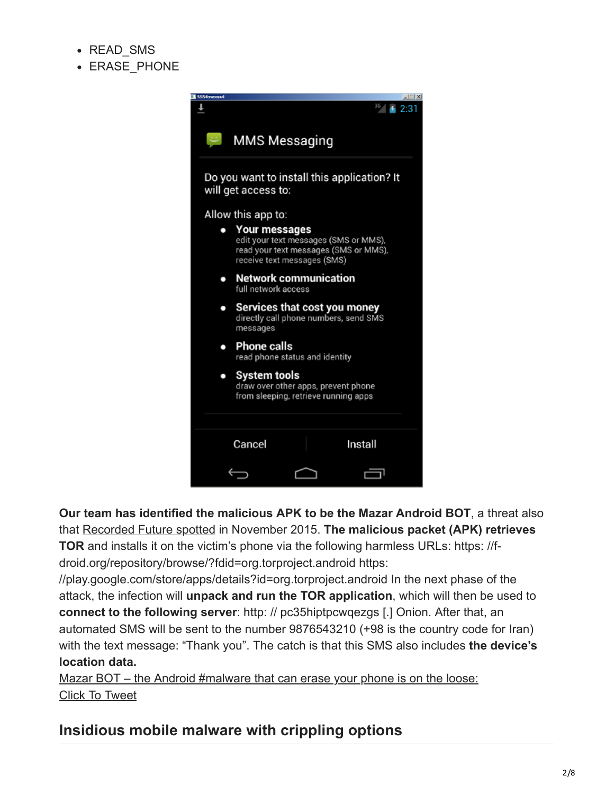- READ SMS
- **ERASE PHONE**



**Our team has identified the malicious APK to be the Mazar Android BOT**, a threat also that [Recorded Future spotted](https://www.recordedfuture.com/mazar-android-bot/) in November 2015. **The malicious packet (APK) retrieves TOR** and installs it on the victim's phone via the following harmless URLs: https: //fdroid.org/repository/browse/?fdid=org.torproject.android https:

//play.google.com/store/apps/details?id=org.torproject.android In the next phase of the attack, the infection will **unpack and run the TOR application**, which will then be used to **connect to the following server**: http: // pc35hiptpcwqezgs [.] Onion. After that, an automated SMS will be sent to the number 9876543210 (+98 is the country code for Iran) with the text message: "Thank you". The catch is that this SMS also includes **the device's location data.**

[Mazar BOT – the Android #malware that can erase your phone is on the loose:](https://twitter.com/share?text=Mazar+BOT+-+the+Android+%23malware+that+can+erase+your+phone+is+on+the+loose%3A&via=heimdalsecurity&related=heimdalsecurity&url=https://heimdalsecurity.com/blog/security-alert-mazar-bot-active-attacks-android-malware/) [Click To Tweet](https://twitter.com/share?text=Mazar+BOT+-+the+Android+%23malware+that+can+erase+your+phone+is+on+the+loose%3A&via=heimdalsecurity&related=heimdalsecurity&url=https://heimdalsecurity.com/blog/security-alert-mazar-bot-active-attacks-android-malware/)

## **Insidious mobile malware with crippling options**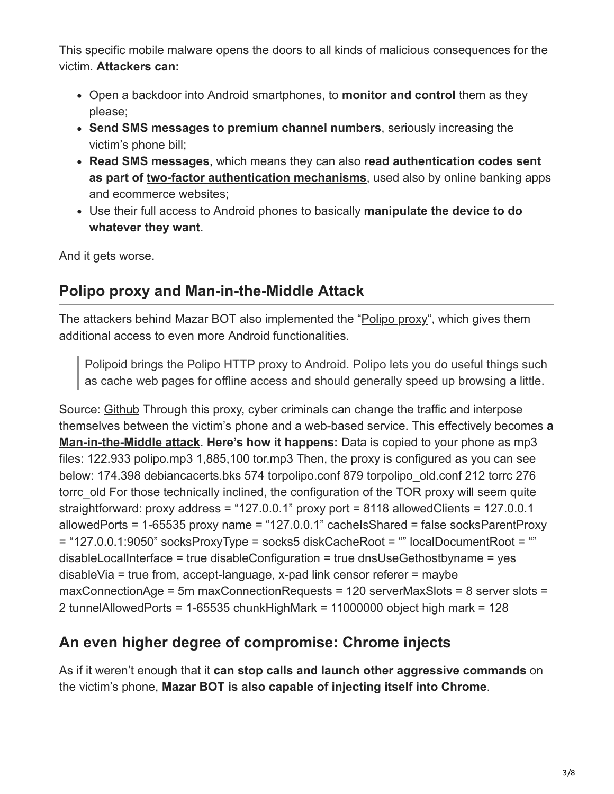This specific mobile malware opens the doors to all kinds of malicious consequences for the victim. **Attackers can:**

- Open a backdoor into Android smartphones, to **monitor and control** them as they please;
- **Send SMS messages to premium channel numbers**, seriously increasing the victim's phone bill;
- **Read SMS messages**, which means they can also **read authentication codes sent as part of [two-factor authentication mechanisms](https://heimdalsecurity.com/blog/start-using-two-factor-authentication)**, used also by online banking apps and ecommerce websites;
- Use their full access to Android phones to basically **manipulate the device to do whatever they want**.

And it gets worse.

### **Polipo proxy and Man-in-the-Middle Attack**

The attackers behind Mazar BOT also implemented the "[Polipo proxy"](https://github.com/splondike/polipoid), which gives them additional access to even more Android functionalities.

Polipoid brings the Polipo HTTP proxy to Android. Polipo lets you do useful things such as cache web pages for offline access and should generally speed up browsing a little.

Source: [Github](https://github.com/splondike/polipoid) Through this proxy, cyber criminals can change the traffic and interpose themselves between the victim's phone and a web-based service. This effectively becomes **a [Man-in-the-Middle attack](https://en.wikipedia.org/wiki/Man-in-the-middle_attack)**. **Here's how it happens:** Data is copied to your phone as mp3 files: 122.933 polipo.mp3 1,885,100 tor.mp3 Then, the proxy is configured as you can see below: 174.398 debiancacerts.bks 574 torpolipo.conf 879 torpolipo\_old.conf 212 torrc 276 torrc\_old For those technically inclined, the configuration of the TOR proxy will seem quite straightforward: proxy address = "127.0.0.1" proxy port = 8118 allowedClients = 127.0.0.1 allowedPorts = 1-65535 proxy name = "127.0.0.1" cacheIsShared = false socksParentProxy = "127.0.0.1:9050" socksProxyType = socks5 diskCacheRoot = "" localDocumentRoot = "" disableLocalInterface = true disableConfiguration = true dnsUseGethostbyname = yes disableVia = true from, accept-language, x-pad link censor referer = maybe maxConnectionAge = 5m maxConnectionRequests = 120 serverMaxSlots = 8 server slots = 2 tunnelAllowedPorts = 1-65535 chunkHighMark = 11000000 object high mark = 128

## **An even higher degree of compromise: Chrome injects**

As if it weren't enough that it **can stop calls and launch other aggressive commands** on the victim's phone, **Mazar BOT is also capable of injecting itself into Chrome**.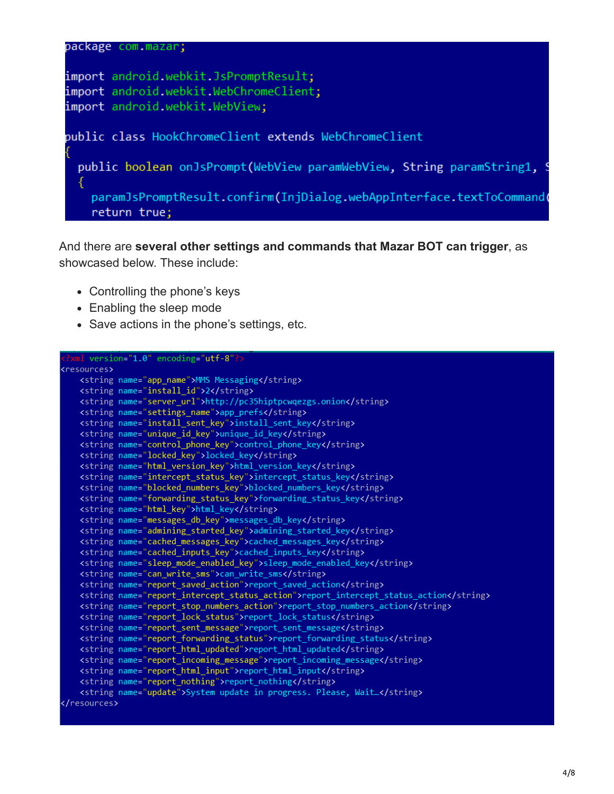

And there are **several other settings and commands that Mazar BOT can trigger**, as showcased below. These include:

- Controlling the phone's keys
- Enabling the sleep mode
- Save actions in the phone's settings, etc.

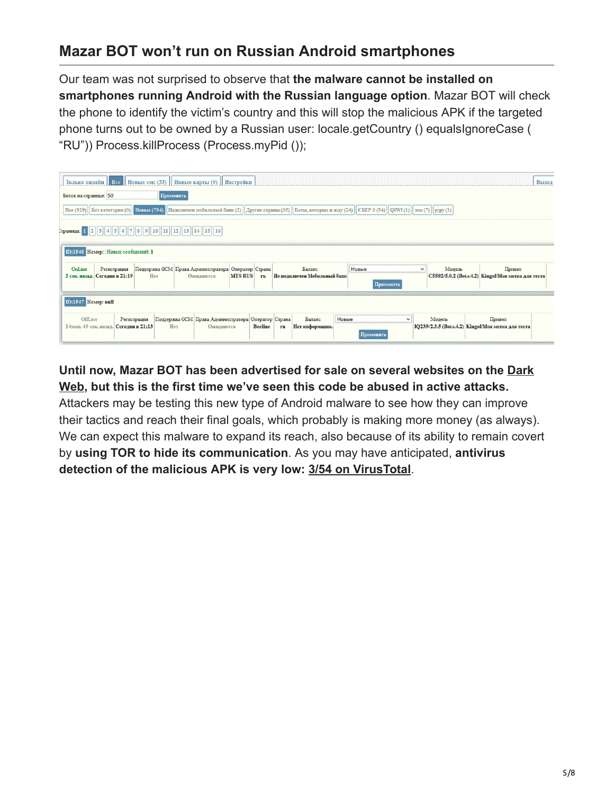## **Mazar BOT won't run on Russian Android smartphones**

Our team was not surprised to observe that **the malware cannot be installed on smartphones running Android with the Russian language option**. Mazar BOT will check the phone to identify the victim's country and this will stop the malicious APK if the targeted phone turns out to be owned by a Russian user: locale.getCountry () equalsIgnoreCase ( "RU")) Process.killProcess (Process.myPid ());

|                                |                                                                     |             | Только онлайн   Все   Новые смс (33)    Новые карты (0)    Настройки |                                                  |                                                                                                                                                                          |              | <b>BLIXO</b>                                                 |
|--------------------------------|---------------------------------------------------------------------|-------------|----------------------------------------------------------------------|--------------------------------------------------|--------------------------------------------------------------------------------------------------------------------------------------------------------------------------|--------------|--------------------------------------------------------------|
| Ботов на странице: 50          |                                                                     | Применить   |                                                                      |                                                  |                                                                                                                                                                          |              |                                                              |
|                                |                                                                     |             |                                                                      |                                                  | Все (929) Без категории (0) Новые (794) Подключен мобильный банк (2)    Другие страны (35)    Боты, которых я жду (24)    СБЕР 0 (54)    QIWI (1)    лок (7)    руру (1) |              |                                                              |
|                                | Страница: 1 2 3 4 5 6 7 8 9 10<br>ID:1548 Номер: Новых сообщений: 1 |             |                                                                      |                                                  |                                                                                                                                                                          |              |                                                              |
| OnLine                         | Регистрация<br>3 сек. назад. Сегодня в 21:19                        | Her         | Поддержка ССМ Права Администратора Оператор Страна<br>Ожидаются      | Баланс<br>MTS RUS ru He подключен Мобильный банк | Новые                                                                                                                                                                    | Модель<br>v. | Привел<br>С5502/5.0.2 (Воt.v.4.2) Kingof/Моя метка для теста |
|                                |                                                                     |             |                                                                      |                                                  | Применить                                                                                                                                                                |              |                                                              |
| ID:1547 Homep: null<br>OffLine |                                                                     | Регистрация | Поддержка ССМ Права Администратора Оператор Страна                   | Баланс                                           | Новые<br>M                                                                                                                                                               | Модель       | Привел                                                       |

#### **[Until now, Mazar BOT has been advertised for sale on several websites on the Dark](https://heimdalsecurity.com/blog/how-to-get-on-the-dark-web/) Web, but this is the first time we've seen this code be abused in active attacks.**

Attackers may be testing this new type of Android malware to see how they can improve their tactics and reach their final goals, which probably is making more money (as always). We can expect this malware to expand its reach, also because of its ability to remain covert by **using TOR to hide its communication**. As you may have anticipated, **antivirus detection of the malicious APK is very low: [3/54 on VirusTotal](https://www.virustotal.com/en/file/73c9bf90cb8573db9139d028fa4872e93a528284c02616457749d40878af8cf8/analysis/)**.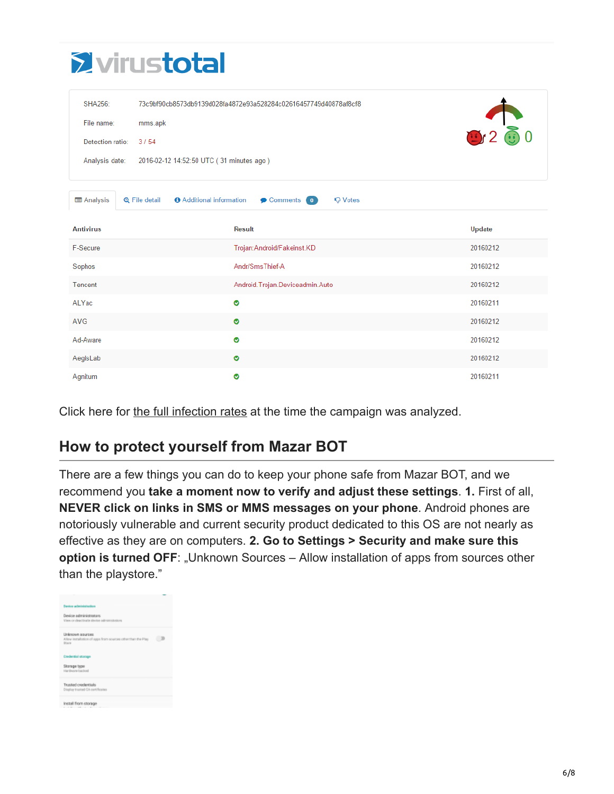| <b>Evirustotal</b> |  |
|--------------------|--|
|                    |  |
|                    |  |

| <b>SHA256:</b><br>File name:<br>Detection ratio:<br>Analysis date: | 73c9bf90cb8573db9139d028fa4872e93a528284c02616457749d40878af8cf8<br>mms.apk<br>3/54<br>2016-02-12 14:52:50 UTC (31 minutes ago) | 9.260         |
|--------------------------------------------------------------------|---------------------------------------------------------------------------------------------------------------------------------|---------------|
| <b>国 Analysis</b>                                                  | <b>6</b> Additional information<br><b>Q</b> File detail<br>Comments 0<br><b>Q</b> Votes                                         |               |
| <b>Antivirus</b>                                                   | <b>Result</b>                                                                                                                   | <b>Update</b> |
| F-Secure                                                           | Trojan: Android/Fakeinst.KD                                                                                                     | 20160212      |
| Sophos                                                             | Andr/SmsThief-A                                                                                                                 | 20160212      |
| Tencent                                                            | Android. Trojan. Deviceadmin. Auto                                                                                              | 20160212      |
| ALYac                                                              | ◉                                                                                                                               | 20160211      |
| AVG                                                                | Ø                                                                                                                               | 20160212      |
| Ad-Aware                                                           | ◎                                                                                                                               | 20160212      |
| AegisLab                                                           | ◎                                                                                                                               | 20160212      |
| Agnitum                                                            | ◎                                                                                                                               | 20160211      |

Click here for [the full infection rates](https://heimdalsecurity.com/blog/wp-content/uploads/MazarBOT-virustotal-detection-February-12-2016.png) at the time the campaign was analyzed.

## **How to protect yourself from Mazar BOT**

There are a few things you can do to keep your phone safe from Mazar BOT, and we recommend you **take a moment now to verify and adjust these settings**. **1.** First of all, **NEVER click on links in SMS or MMS messages on your phone**. Android phones are notoriously vulnerable and current security product dedicated to this OS are not nearly as effective as they are on computers. **2. Go to Settings > Security and make sure this option is turned OFF:** "Unknown Sources – Allow installation of apps from sources other than the playstore."

| Dambrar gellerindsplag@cos                                                                 |  |
|--------------------------------------------------------------------------------------------|--|
| Device administrators<br>View or deactivate device administrators                          |  |
| Unknown sources<br>Allow installation of apps from sources other than the Play<br>Strain's |  |
| Credential storage                                                                         |  |
| Storage type<br>Hardware-backed                                                            |  |
| Trusted credentials<br>Display trasted GA certificates                                     |  |
| Install from storage<br>and the state of the state of the                                  |  |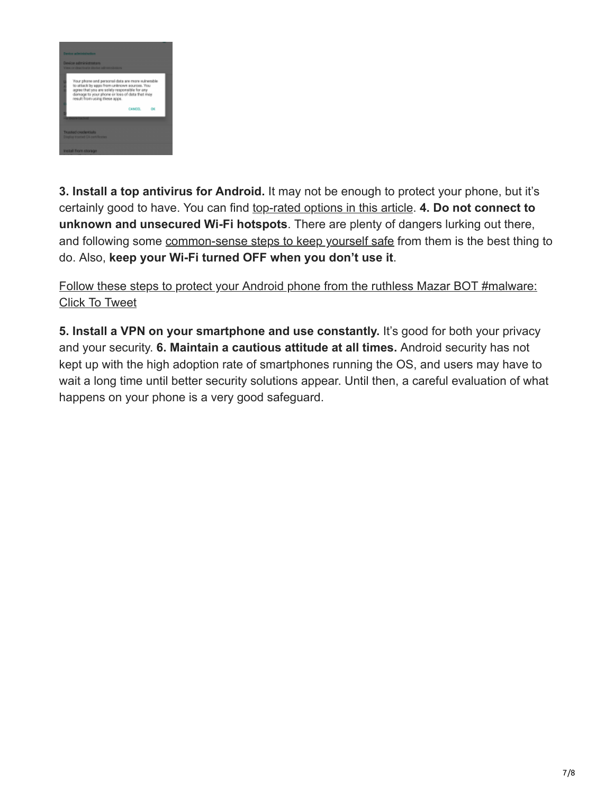

**3. Install a top antivirus for Android.** It may not be enough to protect your phone, but it's certainly good to have. You can find [top-rated options in this article](http://www.tomsguide.com/us/best-antivirus,review-2588-7.html). **4. Do not connect to unknown and unsecured Wi-Fi hotspots**. There are plenty of dangers lurking out there, and following some [common-sense steps to keep yourself safe](https://heimdalsecurity.com/blog/11-security-steps-public-wi-fi-networks/) from them is the best thing to do. Also, **keep your Wi-Fi turned OFF when you don't use it**.

[Follow these steps to protect your Android phone from the ruthless Mazar BOT #malware:](https://twitter.com/share?text=Follow+these+steps+to+protect+your+Android+phone+from+the+ruthless+Mazar+BOT+%23malware%3A&via=heimdalsecurity&related=heimdalsecurity&url=https://heimdalsecurity.com/blog/security-alert-mazar-bot-active-attacks-android-malware/) [Click To Tweet](https://twitter.com/share?text=Follow+these+steps+to+protect+your+Android+phone+from+the+ruthless+Mazar+BOT+%23malware%3A&via=heimdalsecurity&related=heimdalsecurity&url=https://heimdalsecurity.com/blog/security-alert-mazar-bot-active-attacks-android-malware/)

**5. Install a VPN on your smartphone and use constantly.** It's good for both your privacy and your security. **6. Maintain a cautious attitude at all times.** Android security has not kept up with the high adoption rate of smartphones running the OS, and users may have to wait a long time until better security solutions appear. Until then, a careful evaluation of what happens on your phone is a very good safeguard.